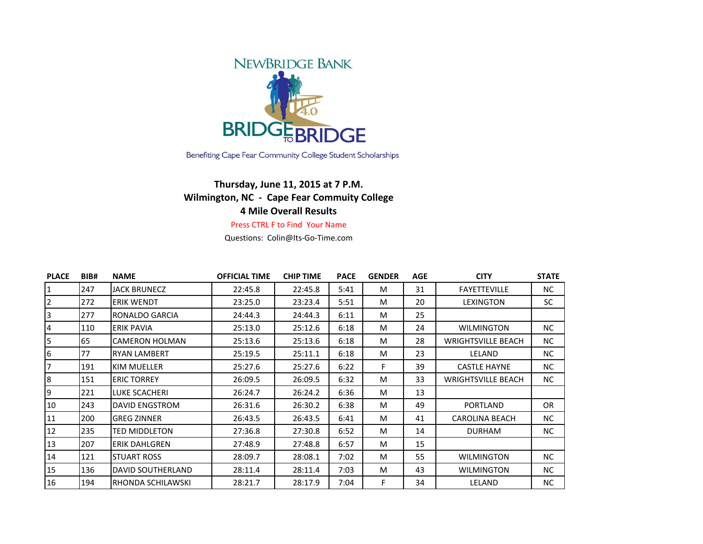

Benefiting Cape Fear Community College Student Scholarships

## **Thursday, June 11, 2015 at 7 P.M. Wilmington, NC - Cape Fear Commuity College 4 Mile Overall Results**

## Press CTRL F to Find Your Name

Questions: Colin@Its-Go-Time.com

| <b>PLACE</b>   | BIB# | <b>NAME</b>           | <b>OFFICIAL TIME</b> | <b>CHIP TIME</b> | <b>PACE</b> | <b>GENDER</b> | <b>AGE</b> | <b>CITY</b>               | <b>STATE</b> |
|----------------|------|-----------------------|----------------------|------------------|-------------|---------------|------------|---------------------------|--------------|
|                | 247  | <b>JACK BRUNECZ</b>   | 22:45.8              | 22:45.8          | 5:41        | M             | 31         | <b>FAYETTEVILLE</b>       | NC.          |
| $\overline{2}$ | 272  | <b>ERIK WENDT</b>     | 23:25.0              | 23:23.4          | 5:51        | M             | 20         | LEXINGTON                 | SC.          |
| 3              | 277  | RONALDO GARCIA        | 24:44.3              | 24:44.3          | 6:11        | M             | 25         |                           |              |
| 4              | 110  | <b>ERIK PAVIA</b>     | 25:13.0              | 25:12.6          | 6:18        | M             | 24         | <b>WILMINGTON</b>         | NC.          |
| 5              | 65   | <b>CAMERON HOLMAN</b> | 25:13.6              | 25:13.6          | 6:18        | M             | 28         | <b>WRIGHTSVILLE BEACH</b> | NC.          |
| 6              | 77   | <b>RYAN LAMBERT</b>   | 25:19.5              | 25:11.1          | 6:18        | M             | 23         | LELAND                    | NC.          |
| 7              | 191  | KIM MUELLER           | 25:27.6              | 25:27.6          | 6:22        | F             | 39         | <b>CASTLE HAYNE</b>       | NC.          |
| 8              | 151  | <b>ERIC TORREY</b>    | 26:09.5              | 26:09.5          | 6:32        | M             | 33         | <b>WRIGHTSVILLE BEACH</b> | NC.          |
| 9              | 221  | LUKE SCACHERI         | 26:24.7              | 26:24.2          | 6:36        | M             | 13         |                           |              |
| 10             | 243  | <b>DAVID ENGSTROM</b> | 26:31.6              | 26:30.2          | 6:38        | M             | 49         | <b>PORTLAND</b>           | <b>OR</b>    |
| 11             | 200  | <b>GREG ZINNER</b>    | 26:43.5              | 26:43.5          | 6:41        | M             | 41         | <b>CAROLINA BEACH</b>     | NC.          |
| 12             | 235  | TED MIDDLETON         | 27:36.8              | 27:30.8          | 6:52        | M             | 14         | <b>DURHAM</b>             | NC.          |
| 13             | 207  | <b>ERIK DAHLGREN</b>  | 27:48.9              | 27:48.8          | 6:57        | M             | 15         |                           |              |
| 14             | 121  | <b>STUART ROSS</b>    | 28:09.7              | 28:08.1          | 7:02        | M             | 55         | WILMINGTON                | NC.          |
| 15             | 136  | DAVID SOUTHERLAND     | 28:11.4              | 28:11.4          | 7:03        | M             | 43         | WILMINGTON                | NC.          |
| 16             | 194  | RHONDA SCHILAWSKI     | 28:21.7              | 28:17.9          | 7:04        | F             | 34         | LELAND                    | NC.          |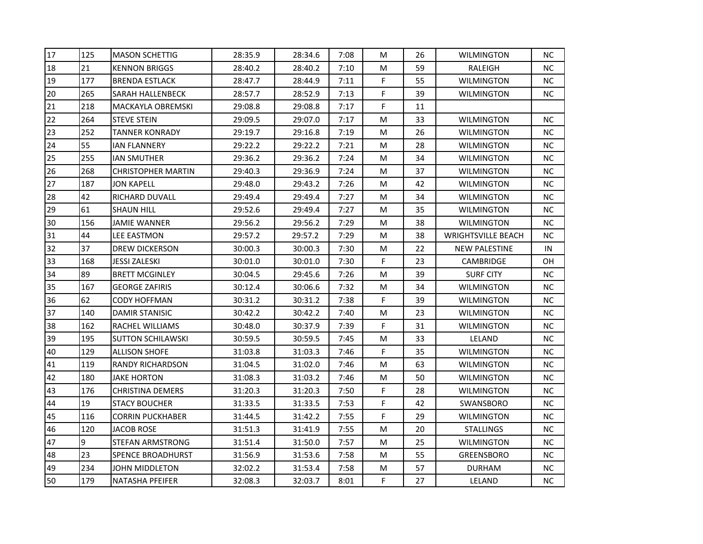| 17 | 125 | <b>MASON SCHETTIG</b>     | 28:35.9 | 28:34.6 | 7:08 | M           | 26 | <b>WILMINGTON</b>         | <b>NC</b> |
|----|-----|---------------------------|---------|---------|------|-------------|----|---------------------------|-----------|
| 18 | 21  | <b>KENNON BRIGGS</b>      | 28:40.2 | 28:40.2 | 7:10 | M           | 59 | RALEIGH                   | <b>NC</b> |
| 19 | 177 | <b>BRENDA ESTLACK</b>     | 28:47.7 | 28:44.9 | 7:11 | F           | 55 | WILMINGTON                | NC.       |
| 20 | 265 | SARAH HALLENBECK          | 28:57.7 | 28:52.9 | 7:13 | F           | 39 | WILMINGTON                | <b>NC</b> |
| 21 | 218 | MACKAYLA OBREMSKI         | 29:08.8 | 29:08.8 | 7:17 | $\mathsf F$ | 11 |                           |           |
| 22 | 264 | <b>STEVE STEIN</b>        | 29:09.5 | 29:07.0 | 7:17 | м           | 33 | WILMINGTON                | NC.       |
| 23 | 252 | <b>TANNER KONRADY</b>     | 29:19.7 | 29:16.8 | 7:19 | M           | 26 | <b>WILMINGTON</b>         | <b>NC</b> |
| 24 | 55  | <b>IAN FLANNERY</b>       | 29:22.2 | 29:22.2 | 7:21 | M           | 28 | WILMINGTON                | <b>NC</b> |
| 25 | 255 | <b>IAN SMUTHER</b>        | 29:36.2 | 29:36.2 | 7:24 | M           | 34 | <b>WILMINGTON</b>         | <b>NC</b> |
| 26 | 268 | <b>CHRISTOPHER MARTIN</b> | 29:40.3 | 29:36.9 | 7:24 | M           | 37 | <b>WILMINGTON</b>         | <b>NC</b> |
| 27 | 187 | JON KAPELL                | 29:48.0 | 29:43.2 | 7:26 | M           | 42 | WILMINGTON                | <b>NC</b> |
| 28 | 42  | RICHARD DUVALL            | 29:49.4 | 29:49.4 | 7:27 | M           | 34 | WILMINGTON                | NC.       |
| 29 | 61  | <b>SHAUN HILL</b>         | 29:52.6 | 29:49.4 | 7:27 | M           | 35 | <b>WILMINGTON</b>         | NC        |
| 30 | 156 | JAMIE WANNER              | 29:56.2 | 29:56.2 | 7:29 | M           | 38 | WILMINGTON                | <b>NC</b> |
| 31 | 44  | <b>LEE EASTMON</b>        | 29:57.2 | 29:57.2 | 7:29 | M           | 38 | <b>WRIGHTSVILLE BEACH</b> | NC.       |
| 32 | 37  | <b>DREW DICKERSON</b>     | 30:00.3 | 30:00.3 | 7:30 | M           | 22 | <b>NEW PALESTINE</b>      | IN        |
| 33 | 168 | JESSI ZALESKI             | 30:01.0 | 30:01.0 | 7:30 | F           | 23 | CAMBRIDGE                 | OН        |
| 34 | 89  | <b>BRETT MCGINLEY</b>     | 30:04.5 | 29:45.6 | 7:26 | M           | 39 | <b>SURF CITY</b>          | <b>NC</b> |
| 35 | 167 | <b>GEORGE ZAFIRIS</b>     | 30:12.4 | 30:06.6 | 7:32 | M           | 34 | <b>WILMINGTON</b>         | <b>NC</b> |
| 36 | 62  | CODY HOFFMAN              | 30:31.2 | 30:31.2 | 7:38 | F           | 39 | WILMINGTON                | <b>NC</b> |
| 37 | 140 | DAMIR STANISIC            | 30:42.2 | 30:42.2 | 7:40 | M           | 23 | WILMINGTON                | <b>NC</b> |
| 38 | 162 | RACHEL WILLIAMS           | 30:48.0 | 30:37.9 | 7:39 | F           | 31 | <b>WILMINGTON</b>         | NC        |
| 39 | 195 | <b>SUTTON SCHILAWSKI</b>  | 30:59.5 | 30:59.5 | 7:45 | M           | 33 | LELAND                    | <b>NC</b> |
| 40 | 129 | <b>ALLISON SHOFE</b>      | 31:03.8 | 31:03.3 | 7:46 | F           | 35 | <b>WILMINGTON</b>         | NC.       |
| 41 | 119 | <b>RANDY RICHARDSON</b>   | 31:04.5 | 31:02.0 | 7:46 | M           | 63 | <b>WILMINGTON</b>         | <b>NC</b> |
| 42 | 180 | JAKE HORTON               | 31:08.3 | 31:03.2 | 7:46 | M           | 50 | <b>WILMINGTON</b>         | <b>NC</b> |
| 43 | 176 | CHRISTINA DEMERS          | 31:20.3 | 31:20.3 | 7:50 | F           | 28 | WILMINGTON                | <b>NC</b> |
| 44 | 19  | <b>STACY BOUCHER</b>      | 31:33.5 | 31:33.5 | 7:53 | F           | 42 | SWANSBORO                 | NC.       |
| 45 | 116 | <b>CORRIN PUCKHABER</b>   | 31:44.5 | 31:42.2 | 7:55 | F.          | 29 | WILMINGTON                | <b>NC</b> |
| 46 | 120 | <b>JACOB ROSE</b>         | 31:51.3 | 31:41.9 | 7:55 | M           | 20 | <b>STALLINGS</b>          | NC.       |
| 47 | 9   | STEFAN ARMSTRONG          | 31:51.4 | 31:50.0 | 7:57 | M           | 25 | WILMINGTON                | <b>NC</b> |
| 48 | 23  | <b>SPENCE BROADHURST</b>  | 31:56.9 | 31:53.6 | 7:58 | M           | 55 | <b>GREENSBORO</b>         | <b>NC</b> |
| 49 | 234 | JOHN MIDDLETON            | 32:02.2 | 31:53.4 | 7:58 | M           | 57 | <b>DURHAM</b>             | <b>NC</b> |
| 50 | 179 | <b>NATASHA PFEIFER</b>    | 32:08.3 | 32:03.7 | 8:01 | F           | 27 | LELAND                    | NC        |
|    |     |                           |         |         |      |             |    |                           |           |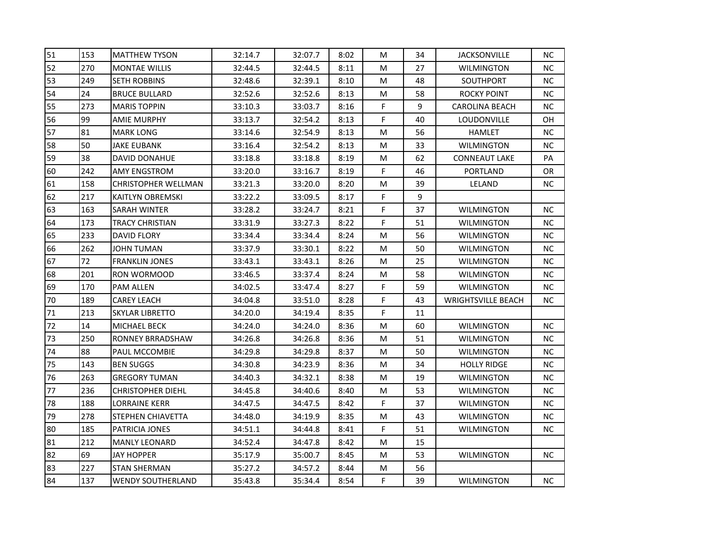| 51 | 153 | <b>MATTHEW TYSON</b>       | 32:14.7 | 32:07.7 | 8:02 | М           | 34 | <b>JACKSONVILLE</b>       | <b>NC</b> |
|----|-----|----------------------------|---------|---------|------|-------------|----|---------------------------|-----------|
| 52 | 270 | <b>MONTAE WILLIS</b>       | 32:44.5 | 32:44.5 | 8:11 | М           | 27 | <b>WILMINGTON</b>         | NC.       |
| 53 | 249 | <b>SETH ROBBINS</b>        | 32:48.6 | 32:39.1 | 8:10 | М           | 48 | SOUTHPORT                 | ΝC        |
| 54 | 24  | <b>BRUCE BULLARD</b>       | 32:52.6 | 32:52.6 | 8:13 | M           | 58 | <b>ROCKY POINT</b>        | NC.       |
| 55 | 273 | <b>MARIS TOPPIN</b>        | 33:10.3 | 33:03.7 | 8:16 | F.          | 9  | <b>CAROLINA BEACH</b>     | NC.       |
| 56 | 99  | <b>AMIE MURPHY</b>         | 33:13.7 | 32:54.2 | 8:13 | F           | 40 | LOUDONVILLE               | OН        |
| 57 | 81  | <b>MARK LONG</b>           | 33:14.6 | 32:54.9 | 8:13 | М           | 56 | HAMLET                    | NC.       |
| 58 | 50  | JAKE EUBANK                | 33:16.4 | 32:54.2 | 8:13 | M           | 33 | WILMINGTON                | NC.       |
| 59 | 38  | DAVID DONAHUE              | 33:18.8 | 33:18.8 | 8:19 | М           | 62 | <b>CONNEAUT LAKE</b>      | PA        |
| 60 | 242 | AMY ENGSTROM               | 33:20.0 | 33:16.7 | 8:19 | F.          | 46 | PORTLAND                  | <b>OR</b> |
| 61 | 158 | <b>CHRISTOPHER WELLMAN</b> | 33:21.3 | 33:20.0 | 8:20 | М           | 39 | LELAND                    | NC.       |
| 62 | 217 | <b>KAITLYN OBREMSKI</b>    | 33:22.2 | 33:09.5 | 8:17 | F           | 9  |                           |           |
| 63 | 163 | SARAH WINTER               | 33:28.2 | 33:24.7 | 8:21 | F.          | 37 | <b>WILMINGTON</b>         | <b>NC</b> |
| 64 | 173 | <b>TRACY CHRISTIAN</b>     | 33:31.9 | 33:27.3 | 8:22 | F           | 51 | <b>WILMINGTON</b>         | NC        |
| 65 | 233 | <b>DAVID FLORY</b>         | 33:34.4 | 33:34.4 | 8:24 | М           | 56 | WILMINGTON                | NC.       |
| 66 | 262 | JOHN TUMAN                 | 33:37.9 | 33:30.1 | 8:22 | м           | 50 | WILMINGTON                | NC.       |
| 67 | 72  | <b>FRANKLIN JONES</b>      | 33:43.1 | 33:43.1 | 8:26 | М           | 25 | WILMINGTON                | ΝC        |
| 68 | 201 | RON WORMOOD                | 33:46.5 | 33:37.4 | 8:24 | М           | 58 | <b>WILMINGTON</b>         | NC        |
| 69 | 170 | <b>PAM ALLEN</b>           | 34:02.5 | 33:47.4 | 8:27 | F           | 59 | WILMINGTON                | NC.       |
| 70 | 189 | CAREY LEACH                | 34:04.8 | 33:51.0 | 8:28 | F           | 43 | <b>WRIGHTSVILLE BEACH</b> | NC.       |
| 71 | 213 | SKYLAR LIBRETTO            | 34:20.0 | 34:19.4 | 8:35 | F           | 11 |                           |           |
| 72 | 14  | MICHAEL BECK               | 34:24.0 | 34:24.0 | 8:36 | М           | 60 | <b>WILMINGTON</b>         | NC.       |
| 73 | 250 | <b>RONNEY BRRADSHAW</b>    | 34:26.8 | 34:26.8 | 8:36 | М           | 51 | <b>WILMINGTON</b>         | NC.       |
| 74 | 88  | PAUL MCCOMBIE              | 34:29.8 | 34:29.8 | 8:37 | M           | 50 | WILMINGTON                | NC.       |
| 75 | 143 | <b>BEN SUGGS</b>           | 34:30.8 | 34:23.9 | 8:36 | М           | 34 | <b>HOLLY RIDGE</b>        | <b>NC</b> |
| 76 | 263 | <b>GREGORY TUMAN</b>       | 34:40.3 | 34:32.1 | 8:38 | М           | 19 | WILMINGTON                | NC.       |
| 77 | 236 | <b>CHRISTOPHER DIEHL</b>   | 34:45.8 | 34:40.6 | 8:40 | М           | 53 | WILMINGTON                | NC.       |
| 78 | 188 | LORRAINE KERR              | 34:47.5 | 34:47.5 | 8:42 | F           | 37 | <b>WILMINGTON</b>         | <b>NC</b> |
| 79 | 278 | STEPHEN CHIAVETTA          | 34:48.0 | 34:19.9 | 8:35 | М           | 43 | WILMINGTON                | NC.       |
| 80 | 185 | PATRICIA JONES             | 34:51.1 | 34:44.8 | 8:41 | F.          | 51 | WILMINGTON                | <b>NC</b> |
| 81 | 212 | <b>MANLY LEONARD</b>       | 34:52.4 | 34:47.8 | 8:42 | М           | 15 |                           |           |
| 82 | 69  | JAY HOPPER                 | 35:17.9 | 35:00.7 | 8:45 | М           | 53 | WILMINGTON                | NC.       |
| 83 | 227 | <b>STAN SHERMAN</b>        | 35:27.2 | 34:57.2 | 8:44 | М           | 56 |                           |           |
| 84 | 137 | <b>WENDY SOUTHERLAND</b>   | 35:43.8 | 35:34.4 | 8:54 | $\mathsf F$ | 39 | WILMINGTON                | <b>NC</b> |
|    |     |                            |         |         |      |             |    |                           |           |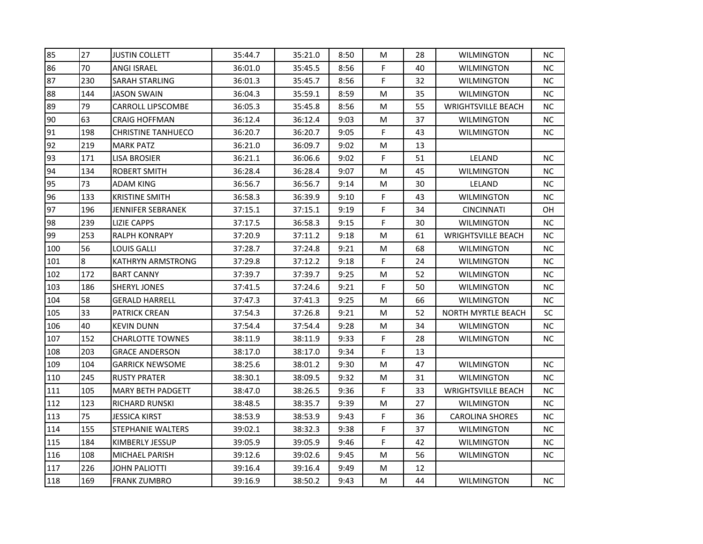| 85  | 27  | <b>JUSTIN COLLETT</b>     | 35:44.7 | 35:21.0 | 8:50 | M           | 28 | <b>WILMINGTON</b>         | <b>NC</b> |
|-----|-----|---------------------------|---------|---------|------|-------------|----|---------------------------|-----------|
| 86  | 70  | ANGI ISRAEL               | 36:01.0 | 35:45.5 | 8:56 | F           | 40 | <b>WILMINGTON</b>         | NC        |
| 87  | 230 | SARAH STARLING            | 36:01.3 | 35:45.7 | 8:56 | F           | 32 | <b>WILMINGTON</b>         | <b>NC</b> |
| 88  | 144 | JASON SWAIN               | 36:04.3 | 35:59.1 | 8:59 | M           | 35 | <b>WILMINGTON</b>         | <b>NC</b> |
| 89  | 79  | <b>CARROLL LIPSCOMBE</b>  | 36:05.3 | 35:45.8 | 8:56 | M           | 55 | <b>WRIGHTSVILLE BEACH</b> | <b>NC</b> |
| 90  | 63  | CRAIG HOFFMAN             | 36:12.4 | 36:12.4 | 9:03 | M           | 37 | WILMINGTON                | <b>NC</b> |
| 91  | 198 | <b>CHRISTINE TANHUECO</b> | 36:20.7 | 36:20.7 | 9:05 | $\mathsf F$ | 43 | <b>WILMINGTON</b>         | <b>NC</b> |
| 92  | 219 | <b>MARK PATZ</b>          | 36:21.0 | 36:09.7 | 9:02 | M           | 13 |                           |           |
| 93  | 171 | <b>LISA BROSIER</b>       | 36:21.1 | 36:06.6 | 9:02 | F           | 51 | LELAND                    | <b>NC</b> |
| 94  | 134 | ROBERT SMITH              | 36:28.4 | 36:28.4 | 9:07 | M           | 45 | WILMINGTON                | <b>NC</b> |
| 95  | 73  | ADAM KING                 | 36:56.7 | 36:56.7 | 9:14 | M           | 30 | LELAND                    | <b>NC</b> |
| 96  | 133 | <b>KRISTINE SMITH</b>     | 36:58.3 | 36:39.9 | 9:10 | F           | 43 | <b>WILMINGTON</b>         | <b>NC</b> |
| 97  | 196 | JENNIFER SEBRANEK         | 37:15.1 | 37:15.1 | 9:19 | F.          | 34 | <b>CINCINNATI</b>         | <b>OH</b> |
| 98  | 239 | <b>LIZIE CAPPS</b>        | 37:17.5 | 36:58.3 | 9:15 | F           | 30 | <b>WILMINGTON</b>         | <b>NC</b> |
| 99  | 253 | RALPH KONRAPY             | 37:20.9 | 37:11.2 | 9:18 | M           | 61 | <b>WRIGHTSVILLE BEACH</b> | <b>NC</b> |
| 100 | 56  | LOUIS GALLI               | 37:28.7 | 37:24.8 | 9:21 | M           | 68 | WILMINGTON                | NC.       |
| 101 | 8   | KATHRYN ARMSTRONG         | 37:29.8 | 37:12.2 | 9:18 | F           | 24 | WILMINGTON                | NC.       |
| 102 | 172 | <b>BART CANNY</b>         | 37:39.7 | 37:39.7 | 9:25 | M           | 52 | <b>WILMINGTON</b>         | NC        |
| 103 | 186 | SHERYL JONES              | 37:41.5 | 37:24.6 | 9:21 | F           | 50 | WILMINGTON                | <b>NC</b> |
| 104 | 58  | <b>GERALD HARRELL</b>     | 37:47.3 | 37:41.3 | 9:25 | M           | 66 | <b>WILMINGTON</b>         | <b>NC</b> |
| 105 | 33  | PATRICK CREAN             | 37:54.3 | 37:26.8 | 9:21 | M           | 52 | <b>NORTH MYRTLE BEACH</b> | SC        |
| 106 | 40  | <b>KEVIN DUNN</b>         | 37:54.4 | 37:54.4 | 9:28 | M           | 34 | <b>WILMINGTON</b>         | <b>NC</b> |
| 107 | 152 | <b>CHARLOTTE TOWNES</b>   | 38:11.9 | 38:11.9 | 9:33 | F           | 28 | WILMINGTON                | <b>NC</b> |
| 108 | 203 | <b>GRACE ANDERSON</b>     | 38:17.0 | 38:17.0 | 9:34 | F           | 13 |                           |           |
| 109 | 104 | <b>GARRICK NEWSOME</b>    | 38:25.6 | 38:01.2 | 9:30 | M           | 47 | <b>WILMINGTON</b>         | <b>NC</b> |
| 110 | 245 | <b>RUSTY PRATER</b>       | 38:30.1 | 38:09.5 | 9:32 | M           | 31 | <b>WILMINGTON</b>         | <b>NC</b> |
| 111 | 105 | <b>MARY BETH PADGETT</b>  | 38:47.0 | 38:26.5 | 9:36 | F           | 33 | <b>WRIGHTSVILLE BEACH</b> | NC.       |
| 112 | 123 | RICHARD RUNSKI            | 38:48.5 | 38:35.7 | 9:39 | M           | 27 | <b>WILMINGTON</b>         | <b>NC</b> |
| 113 | 75  | JESSICA KIRST             | 38:53.9 | 38:53.9 | 9:43 | F           | 36 | <b>CAROLINA SHORES</b>    | <b>NC</b> |
| 114 | 155 | STEPHANIE WALTERS         | 39:02.1 | 38:32.3 | 9:38 | F           | 37 | WILMINGTON                | NC.       |
| 115 | 184 | KIMBERLY JESSUP           | 39:05.9 | 39:05.9 | 9:46 | F           | 42 | <b>WILMINGTON</b>         | <b>NC</b> |
| 116 | 108 | MICHAEL PARISH            | 39:12.6 | 39:02.6 | 9:45 | M           | 56 | WILMINGTON                | <b>NC</b> |
| 117 | 226 | JOHN PALIOTTI             | 39:16.4 | 39:16.4 | 9:49 | M           | 12 |                           |           |
| 118 | 169 | <b>FRANK ZUMBRO</b>       | 39:16.9 | 38:50.2 | 9:43 | M           | 44 | WILMINGTON                | <b>NC</b> |
|     |     |                           |         |         |      |             |    |                           |           |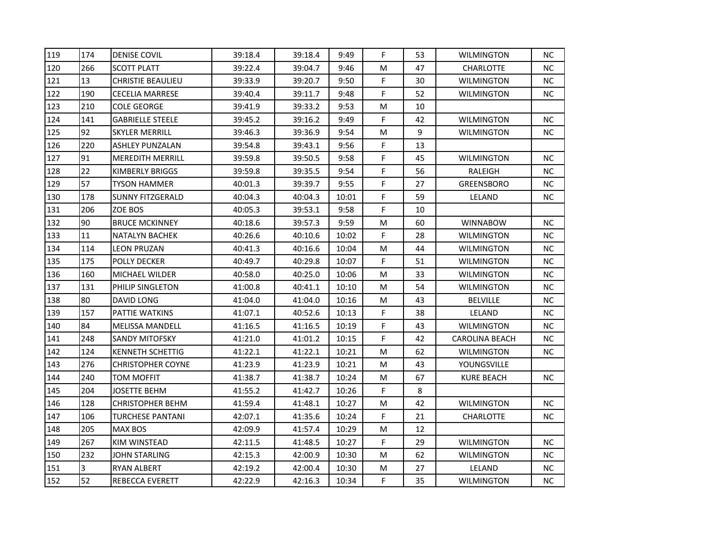| 119<br>174<br><b>DENISE COVIL</b><br>120<br>266<br><b>SCOTT PLATT</b><br>121<br>13<br><b>CHRISTIE BEAULIEU</b><br>122<br>190<br><b>CECELIA MARRESE</b><br>123<br>210<br><b>COLE GEORGE</b><br>124<br>141<br><b>GABRIELLE STEELE</b><br>125<br>92<br><b>SKYLER MERRILL</b><br>126<br>220<br>ASHLEY PUNZALAN<br>127<br>91<br><b>MEREDITH MERRILL</b><br>22<br>128<br>KIMBERLY BRIGGS<br>129<br>57<br>TYSON HAMMER<br>130<br>178<br><b>SUNNY FITZGERALD</b><br>131<br>206<br>ZOE BOS<br>132<br>90<br><b>BRUCE MCKINNEY</b><br>11<br>133<br><b>NATALYN BACHEK</b> | 39:18.4<br>39:22.4<br>39:33.9<br>39:40.4<br>39:41.9<br>39:45.2<br>39:46.3<br>39:54.8<br>39:59.8<br>39:59.8 | 39:18.4<br>39:04.7<br>39:20.7<br>39:11.7<br>39:33.2<br>39:16.2<br>39:36.9<br>39:43.1<br>39:50.5 | 9:49<br>9:46<br>9:50<br>9:48<br>9:53<br>9:49<br>9:54<br>9:56 | F<br>M<br>F<br>F<br>M<br>F<br>M | 53<br>47<br>30<br>52<br>10<br>42<br>9 | <b>WILMINGTON</b><br><b>CHARLOTTE</b><br>WILMINGTON<br>WILMINGTON<br><b>WILMINGTON</b><br><b>WILMINGTON</b> | <b>NC</b><br><b>NC</b><br>NC.<br><b>NC</b><br>NC. |
|---------------------------------------------------------------------------------------------------------------------------------------------------------------------------------------------------------------------------------------------------------------------------------------------------------------------------------------------------------------------------------------------------------------------------------------------------------------------------------------------------------------------------------------------------------------|------------------------------------------------------------------------------------------------------------|-------------------------------------------------------------------------------------------------|--------------------------------------------------------------|---------------------------------|---------------------------------------|-------------------------------------------------------------------------------------------------------------|---------------------------------------------------|
|                                                                                                                                                                                                                                                                                                                                                                                                                                                                                                                                                               |                                                                                                            |                                                                                                 |                                                              |                                 |                                       |                                                                                                             |                                                   |
|                                                                                                                                                                                                                                                                                                                                                                                                                                                                                                                                                               |                                                                                                            |                                                                                                 |                                                              |                                 |                                       |                                                                                                             |                                                   |
|                                                                                                                                                                                                                                                                                                                                                                                                                                                                                                                                                               |                                                                                                            |                                                                                                 |                                                              |                                 |                                       |                                                                                                             |                                                   |
|                                                                                                                                                                                                                                                                                                                                                                                                                                                                                                                                                               |                                                                                                            |                                                                                                 |                                                              |                                 |                                       |                                                                                                             |                                                   |
|                                                                                                                                                                                                                                                                                                                                                                                                                                                                                                                                                               |                                                                                                            |                                                                                                 |                                                              |                                 |                                       |                                                                                                             |                                                   |
|                                                                                                                                                                                                                                                                                                                                                                                                                                                                                                                                                               |                                                                                                            |                                                                                                 |                                                              |                                 |                                       |                                                                                                             |                                                   |
|                                                                                                                                                                                                                                                                                                                                                                                                                                                                                                                                                               |                                                                                                            |                                                                                                 |                                                              |                                 |                                       |                                                                                                             | <b>NC</b>                                         |
|                                                                                                                                                                                                                                                                                                                                                                                                                                                                                                                                                               |                                                                                                            |                                                                                                 |                                                              | F                               | 13                                    |                                                                                                             |                                                   |
|                                                                                                                                                                                                                                                                                                                                                                                                                                                                                                                                                               |                                                                                                            |                                                                                                 | 9:58                                                         | F.                              | 45                                    | WILMINGTON                                                                                                  | <b>NC</b>                                         |
|                                                                                                                                                                                                                                                                                                                                                                                                                                                                                                                                                               |                                                                                                            | 39:35.5                                                                                         | 9:54                                                         | F                               | 56                                    | RALEIGH                                                                                                     | <b>NC</b>                                         |
|                                                                                                                                                                                                                                                                                                                                                                                                                                                                                                                                                               | 40:01.3                                                                                                    | 39:39.7                                                                                         | 9:55                                                         | F                               | 27                                    | <b>GREENSBORO</b>                                                                                           | <b>NC</b>                                         |
|                                                                                                                                                                                                                                                                                                                                                                                                                                                                                                                                                               | 40:04.3                                                                                                    | 40:04.3                                                                                         | 10:01                                                        | F                               | 59                                    | LELAND                                                                                                      | NC                                                |
|                                                                                                                                                                                                                                                                                                                                                                                                                                                                                                                                                               | 40:05.3                                                                                                    | 39:53.1                                                                                         | 9:58                                                         | F                               | 10                                    |                                                                                                             |                                                   |
|                                                                                                                                                                                                                                                                                                                                                                                                                                                                                                                                                               | 40:18.6                                                                                                    | 39:57.3                                                                                         | 9:59                                                         | M                               | 60                                    | <b>WINNABOW</b>                                                                                             | <b>NC</b>                                         |
|                                                                                                                                                                                                                                                                                                                                                                                                                                                                                                                                                               | 40:26.6                                                                                                    | 40:10.6                                                                                         | 10:02                                                        | F                               | 28                                    | <b>WILMINGTON</b>                                                                                           | <b>NC</b>                                         |
| 134<br>114<br>LEON PRUZAN                                                                                                                                                                                                                                                                                                                                                                                                                                                                                                                                     | 40:41.3                                                                                                    | 40:16.6                                                                                         | 10:04                                                        | M                               | 44                                    | WILMINGTON                                                                                                  | <b>NC</b>                                         |
| 135<br>175<br>POLLY DECKER                                                                                                                                                                                                                                                                                                                                                                                                                                                                                                                                    | 40:49.7                                                                                                    | 40:29.8                                                                                         | 10:07                                                        | F                               | 51                                    | WILMINGTON                                                                                                  | <b>NC</b>                                         |
| 136<br>160<br><b>MICHAEL WILDER</b>                                                                                                                                                                                                                                                                                                                                                                                                                                                                                                                           | 40:58.0                                                                                                    | 40:25.0                                                                                         | 10:06                                                        | M                               | 33                                    | <b>WILMINGTON</b>                                                                                           | <b>NC</b>                                         |
| 137<br>131<br>PHILIP SINGLETON                                                                                                                                                                                                                                                                                                                                                                                                                                                                                                                                | 41:00.8                                                                                                    | 40:41.1                                                                                         | 10:10                                                        | M                               | 54                                    | WILMINGTON                                                                                                  | <b>NC</b>                                         |
| 80<br>138<br>DAVID LONG                                                                                                                                                                                                                                                                                                                                                                                                                                                                                                                                       | 41:04.0                                                                                                    | 41:04.0                                                                                         | 10:16                                                        | M                               | 43                                    | <b>BELVILLE</b>                                                                                             | <b>NC</b>                                         |
| 139<br>157<br>PATTIE WATKINS                                                                                                                                                                                                                                                                                                                                                                                                                                                                                                                                  | 41:07.1                                                                                                    | 40:52.6                                                                                         | 10:13                                                        | F                               | 38                                    | LELAND                                                                                                      | NC.                                               |
| 84<br>140<br><b>MELISSA MANDELL</b>                                                                                                                                                                                                                                                                                                                                                                                                                                                                                                                           | 41:16.5                                                                                                    | 41:16.5                                                                                         | 10:19                                                        | F                               | 43                                    | <b>WILMINGTON</b>                                                                                           | NC                                                |
| 141<br>248<br><b>SANDY MITOFSKY</b>                                                                                                                                                                                                                                                                                                                                                                                                                                                                                                                           | 41:21.0                                                                                                    | 41:01.2                                                                                         | 10:15                                                        | F                               | 42                                    | <b>CAROLINA BEACH</b>                                                                                       | <b>NC</b>                                         |
| 142<br>124<br><b>KENNETH SCHETTIG</b>                                                                                                                                                                                                                                                                                                                                                                                                                                                                                                                         | 41:22.1                                                                                                    | 41:22.1                                                                                         | 10:21                                                        | M                               | 62                                    | WILMINGTON                                                                                                  | <b>NC</b>                                         |
| 143<br>276<br><b>CHRISTOPHER COYNE</b>                                                                                                                                                                                                                                                                                                                                                                                                                                                                                                                        | 41:23.9                                                                                                    | 41:23.9                                                                                         | 10:21                                                        | M                               | 43                                    | YOUNGSVILLE                                                                                                 |                                                   |
| 144<br>240<br>TOM MOFFIT                                                                                                                                                                                                                                                                                                                                                                                                                                                                                                                                      | 41:38.7                                                                                                    | 41:38.7                                                                                         | 10:24                                                        | M                               | 67                                    | <b>KURE BEACH</b>                                                                                           | <b>NC</b>                                         |
| 145<br>204<br>JOSETTE BEHM                                                                                                                                                                                                                                                                                                                                                                                                                                                                                                                                    | 41:55.2                                                                                                    | 41:42.7                                                                                         | 10:26                                                        | F                               | 8                                     |                                                                                                             |                                                   |
| 146<br>128<br><b>CHRISTOPHER BEHM</b>                                                                                                                                                                                                                                                                                                                                                                                                                                                                                                                         | 41:59.4                                                                                                    | 41:48.1                                                                                         | 10:27                                                        | M                               | 42                                    | WILMINGTON                                                                                                  | NC.                                               |
| 147<br>106<br>TURCHESE PANTANI                                                                                                                                                                                                                                                                                                                                                                                                                                                                                                                                | 42:07.1                                                                                                    | 41:35.6                                                                                         | 10:24                                                        | F.                              | 21                                    | <b>CHARLOTTE</b>                                                                                            | <b>NC</b>                                         |
| 148<br>205<br>MAX BOS                                                                                                                                                                                                                                                                                                                                                                                                                                                                                                                                         | 42:09.9                                                                                                    | 41:57.4                                                                                         | 10:29                                                        | M                               | 12                                    |                                                                                                             |                                                   |
| 149<br>267<br>KIM WINSTEAD                                                                                                                                                                                                                                                                                                                                                                                                                                                                                                                                    | 42:11.5                                                                                                    | 41:48.5                                                                                         | 10:27                                                        | $\mathsf F$                     | 29                                    | <b>WILMINGTON</b>                                                                                           | <b>NC</b>                                         |
| 232<br>150<br>JOHN STARLING                                                                                                                                                                                                                                                                                                                                                                                                                                                                                                                                   | 42:15.3                                                                                                    | 42:00.9                                                                                         | 10:30                                                        | M                               | 62                                    | <b>WILMINGTON</b>                                                                                           | <b>NC</b>                                         |
| 3<br>151<br><b>RYAN ALBERT</b>                                                                                                                                                                                                                                                                                                                                                                                                                                                                                                                                | 42:19.2                                                                                                    | 42:00.4                                                                                         | 10:30                                                        | M                               | 27                                    | LELAND                                                                                                      | <b>NC</b>                                         |
| 52<br>152<br><b>REBECCA EVERETT</b>                                                                                                                                                                                                                                                                                                                                                                                                                                                                                                                           | 42:22.9                                                                                                    | 42:16.3                                                                                         | 10:34                                                        | $\mathsf F$                     | 35                                    | <b>WILMINGTON</b>                                                                                           | NC                                                |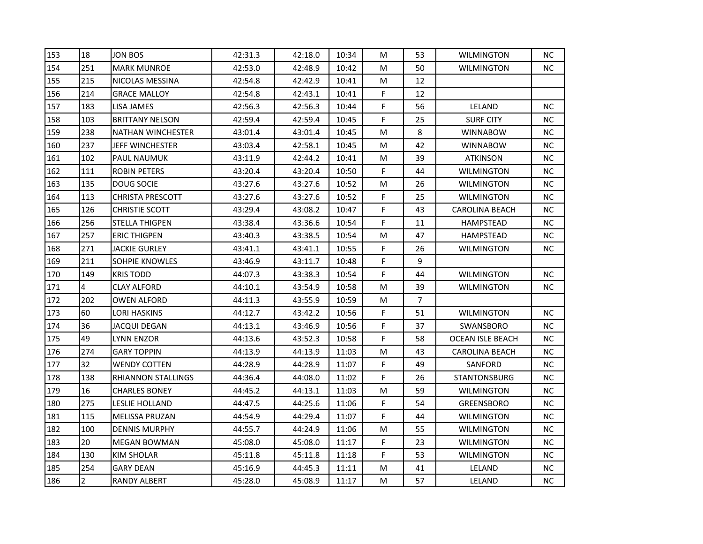| 153 | 18             | JON BOS                  | 42:31.3 | 42:18.0 | 10:34 | м  | 53             | <b>WILMINGTON</b>       | NC.       |
|-----|----------------|--------------------------|---------|---------|-------|----|----------------|-------------------------|-----------|
| 154 | 251            | <b>MARK MUNROE</b>       | 42:53.0 | 42:48.9 | 10:42 | М  | 50             | <b>WILMINGTON</b>       | NC.       |
| 155 | 215            | NICOLAS MESSINA          | 42:54.8 | 42:42.9 | 10:41 | М  | 12             |                         |           |
| 156 | 214            | <b>GRACE MALLOY</b>      | 42:54.8 | 42:43.1 | 10:41 | F. | 12             |                         |           |
| 157 | 183            | LISA JAMES               | 42:56.3 | 42:56.3 | 10:44 | F  | 56             | LELAND                  | NC.       |
| 158 | 103            | <b>BRITTANY NELSON</b>   | 42:59.4 | 42:59.4 | 10:45 | F. | 25             | <b>SURF CITY</b>        | NC.       |
| 159 | 238            | <b>NATHAN WINCHESTER</b> | 43:01.4 | 43:01.4 | 10:45 | М  | 8              | <b>WINNABOW</b>         | NC.       |
| 160 | 237            | <b>JEFF WINCHESTER</b>   | 43:03.4 | 42:58.1 | 10:45 | М  | 42             | WINNABOW                | NC.       |
| 161 | 102            | PAUL NAUMUK              | 43:11.9 | 42:44.2 | 10:41 | M  | 39             | <b>ATKINSON</b>         | NC.       |
| 162 | 111            | <b>ROBIN PETERS</b>      | 43:20.4 | 43:20.4 | 10:50 | F  | 44             | WILMINGTON              | NC.       |
| 163 | 135            | DOUG SOCIE               | 43:27.6 | 43:27.6 | 10:52 | M  | 26             | <b>WILMINGTON</b>       | NC.       |
| 164 | 113            | <b>CHRISTA PRESCOTT</b>  | 43:27.6 | 43:27.6 | 10:52 | F. | 25             | <b>WILMINGTON</b>       | NC.       |
| 165 | 126            | <b>CHRISTIE SCOTT</b>    | 43:29.4 | 43:08.2 | 10:47 | F  | 43             | <b>CAROLINA BEACH</b>   | NC.       |
| 166 | 256            | STELLA THIGPEN           | 43:38.4 | 43:36.6 | 10:54 | F. | 11             | HAMPSTEAD               | NC.       |
| 167 | 257            | <b>ERIC THIGPEN</b>      | 43:40.3 | 43:38.5 | 10:54 | M  | 47             | HAMPSTEAD               | NC.       |
| 168 | 271            | JACKIE GURLEY            | 43:41.1 | 43:41.1 | 10:55 | F  | 26             | <b>WILMINGTON</b>       | NC.       |
| 169 | 211            | <b>SOHPIE KNOWLES</b>    | 43:46.9 | 43:11.7 | 10:48 | F. | 9              |                         |           |
| 170 | 149            | <b>KRIS TODD</b>         | 44:07.3 | 43:38.3 | 10:54 | F  | 44             | <b>WILMINGTON</b>       | NC.       |
| 171 | 4              | <b>CLAY ALFORD</b>       | 44:10.1 | 43:54.9 | 10:58 | М  | 39             | <b>WILMINGTON</b>       | NC.       |
| 172 | 202            | <b>OWEN ALFORD</b>       | 44:11.3 | 43:55.9 | 10:59 | M  | $\overline{7}$ |                         |           |
| 173 | 60             | LORI HASKINS             | 44:12.7 | 43:42.2 | 10:56 | F  | 51             | <b>WILMINGTON</b>       | <b>NC</b> |
| 174 | 36             | <b>JACQUI DEGAN</b>      | 44:13.1 | 43:46.9 | 10:56 | F  | 37             | SWANSBORO               | NC.       |
| 175 | 49             | <b>LYNN ENZOR</b>        | 44:13.6 | 43:52.3 | 10:58 | F  | 58             | <b>OCEAN ISLE BEACH</b> | <b>NC</b> |
| 176 | 274            | <b>GARY TOPPIN</b>       | 44:13.9 | 44:13.9 | 11:03 | М  | 43             | CAROLINA BEACH          | NC.       |
| 177 | 32             | WENDY COTTEN             | 44:28.9 | 44:28.9 | 11:07 | F. | 49             | SANFORD                 | NC.       |
| 178 | 138            | RHIANNON STALLINGS       | 44:36.4 | 44:08.0 | 11:02 | F  | 26             | <b>STANTONSBURG</b>     | NC.       |
| 179 | 16             | <b>CHARLES BONEY</b>     | 44:45.2 | 44:13.1 | 11:03 | M  | 59             | <b>WILMINGTON</b>       | NC.       |
| 180 | 275            | LESLIE HOLLAND           | 44:47.5 | 44:25.6 | 11:06 | F. | 54             | <b>GREENSBORO</b>       | NC.       |
| 181 | 115            | <b>MELISSA PRUZAN</b>    | 44:54.9 | 44:29.4 | 11:07 | F. | 44             | <b>WILMINGTON</b>       | NC        |
| 182 | 100            | <b>DENNIS MURPHY</b>     | 44:55.7 | 44:24.9 | 11:06 | M  | 55             | <b>WILMINGTON</b>       | NC.       |
| 183 | 20             | MEGAN BOWMAN             | 45:08.0 | 45:08.0 | 11:17 | F. | 23             | <b>WILMINGTON</b>       | NC.       |
| 184 | 130            | KIM SHOLAR               | 45:11.8 | 45:11.8 | 11:18 | F  | 53             | <b>WILMINGTON</b>       | NC.       |
| 185 | 254            | <b>GARY DEAN</b>         | 45:16.9 | 44:45.3 | 11:11 | М  | 41             | LELAND                  | NC.       |
| 186 | $\overline{2}$ | <b>RANDY ALBERT</b>      | 45:28.0 | 45:08.9 | 11:17 | M  | 57             | LELAND                  | NC        |
|     |                |                          |         |         |       |    |                |                         |           |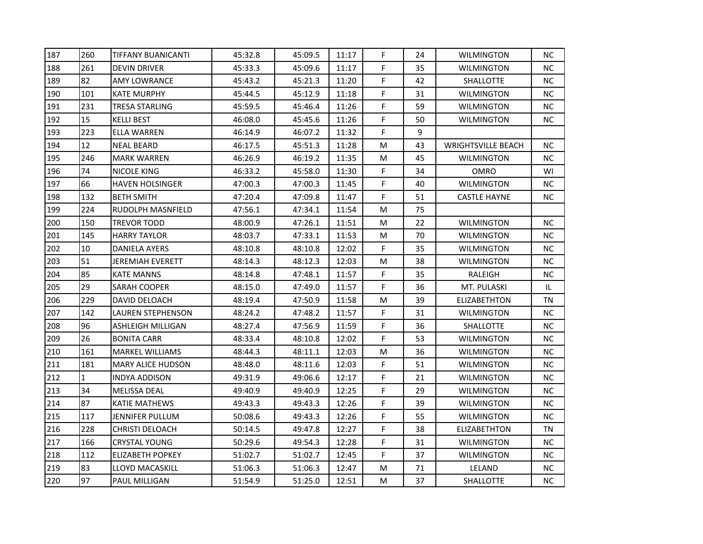| 187 | 260 | <b>TIFFANY BUANICANTI</b> | 45:32.8 | 45:09.5 | 11:17 | F           | 24 | <b>WILMINGTON</b>         | <b>NC</b> |
|-----|-----|---------------------------|---------|---------|-------|-------------|----|---------------------------|-----------|
| 188 | 261 | <b>DEVIN DRIVER</b>       | 45:33.3 | 45:09.6 | 11:17 | F.          | 35 | <b>WILMINGTON</b>         | <b>NC</b> |
| 189 | 82  | AMY LOWRANCE              | 45:43.2 | 45:21.3 | 11:20 | F.          | 42 | <b>SHALLOTTE</b>          | NC.       |
| 190 | 101 | <b>KATE MURPHY</b>        | 45:44.5 | 45:12.9 | 11:18 | F           | 31 | WILMINGTON                | <b>NC</b> |
| 191 | 231 | <b>TRESA STARLING</b>     | 45:59.5 | 45:46.4 | 11:26 | $\mathsf F$ | 59 | WILMINGTON                | <b>NC</b> |
| 192 | 15  | KELLI BEST                | 46:08.0 | 45:45.6 | 11:26 | F           | 50 | WILMINGTON                | NC.       |
| 193 | 223 | <b>ELLA WARREN</b>        | 46:14.9 | 46:07.2 | 11:32 | F           | 9  |                           |           |
| 194 | 12  | <b>NEAL BEARD</b>         | 46:17.5 | 45:51.3 | 11:28 | M           | 43 | <b>WRIGHTSVILLE BEACH</b> | <b>NC</b> |
| 195 | 246 | <b>MARK WARREN</b>        | 46:26.9 | 46:19.2 | 11:35 | M           | 45 | WILMINGTON                | <b>NC</b> |
| 196 | 74  | <b>NICOLE KING</b>        | 46:33.2 | 45:58.0 | 11:30 | F           | 34 | <b>OMRO</b>               | WI        |
| 197 | 66  | <b>HAVEN HOLSINGER</b>    | 47:00.3 | 47:00.3 | 11:45 | F           | 40 | <b>WILMINGTON</b>         | <b>NC</b> |
| 198 | 132 | <b>BETH SMITH</b>         | 47:20.4 | 47:09.8 | 11:47 | F           | 51 | <b>CASTLE HAYNE</b>       | NC.       |
| 199 | 224 | RUDOLPH MASNFIELD         | 47:56.1 | 47:34.1 | 11:54 | M           | 75 |                           |           |
| 200 | 150 | TREVOR TODD               | 48:00.9 | 47:26.1 | 11:51 | M           | 22 | <b>WILMINGTON</b>         | <b>NC</b> |
| 201 | 145 | <b>HARRY TAYLOR</b>       | 48:03.7 | 47:33.1 | 11:53 | M           | 70 | <b>WILMINGTON</b>         | <b>NC</b> |
| 202 | 10  | DANIELA AYERS             | 48:10.8 | 48:10.8 | 12:02 | F           | 35 | WILMINGTON                | <b>NC</b> |
| 203 | 51  | <b>JEREMIAH EVERETT</b>   | 48:14.3 | 48:12.3 | 12:03 | M           | 38 | <b>WILMINGTON</b>         | <b>NC</b> |
| 204 | 85  | <b>KATE MANNS</b>         | 48:14.8 | 47:48.1 | 11:57 | F.          | 35 | RALEIGH                   | <b>NC</b> |
| 205 | 29  | SARAH COOPER              | 48:15.0 | 47:49.0 | 11:57 | F.          | 36 | MT. PULASKI               | IL        |
| 206 | 229 | DAVID DELOACH             | 48:19.4 | 47:50.9 | 11:58 | M           | 39 | ELIZABETHTON              | TN        |
| 207 | 142 | LAUREN STEPHENSON         | 48:24.2 | 47:48.2 | 11:57 | F           | 31 | WILMINGTON                | <b>NC</b> |
| 208 | 96  | ASHLEIGH MILLIGAN         | 48:27.4 | 47:56.9 | 11:59 | F           | 36 | <b>SHALLOTTE</b>          | NC        |
| 209 | 26  | <b>BONITA CARR</b>        | 48:33.4 | 48:10.8 | 12:02 | F           | 53 | <b>WILMINGTON</b>         | <b>NC</b> |
| 210 | 161 | <b>MARKEL WILLIAMS</b>    | 48:44.3 | 48:11.1 | 12:03 | M           | 36 | WILMINGTON                | NC.       |
| 211 | 181 | <b>MARY ALICE HUDSON</b>  | 48:48.0 | 48:11.6 | 12:03 | F           | 51 | <b>WILMINGTON</b>         | <b>NC</b> |
| 212 | 1   | <b>INDYA ADDISON</b>      | 49:31.9 | 49:06.6 | 12:17 | F           | 21 | <b>WILMINGTON</b>         | <b>NC</b> |
| 213 | 34  | MELISSA DEAL              | 49:40.9 | 49:40.9 | 12:25 | F           | 29 | WILMINGTON                | <b>NC</b> |
| 214 | 87  | KATIE MATHEWS             | 49:43.3 | 49:43.3 | 12:26 | F           | 39 | WILMINGTON                | NC.       |
| 215 | 117 | JENNIFER PULLUM           | 50:08.6 | 49:43.3 | 12:26 | F.          | 55 | <b>WILMINGTON</b>         | NC        |
| 216 | 228 | <b>CHRISTI DELOACH</b>    | 50:14.5 | 49:47.8 | 12:27 | F.          | 38 | ELIZABETHTON              | TN        |
| 217 | 166 | CRYSTAL YOUNG             | 50:29.6 | 49:54.3 | 12:28 | F           | 31 | <b>WILMINGTON</b>         | <b>NC</b> |
| 218 | 112 | <b>ELIZABETH POPKEY</b>   | 51:02.7 | 51:02.7 | 12:45 | F           | 37 | <b>WILMINGTON</b>         | <b>NC</b> |
| 219 | 83  | <b>LLOYD MACASKILL</b>    | 51:06.3 | 51:06.3 | 12:47 | M           | 71 | LELAND                    | <b>NC</b> |
| 220 | 97  | PAUL MILLIGAN             | 51:54.9 | 51:25.0 | 12:51 | M           | 37 | SHALLOTTE                 | NC        |
|     |     |                           |         |         |       |             |    |                           |           |